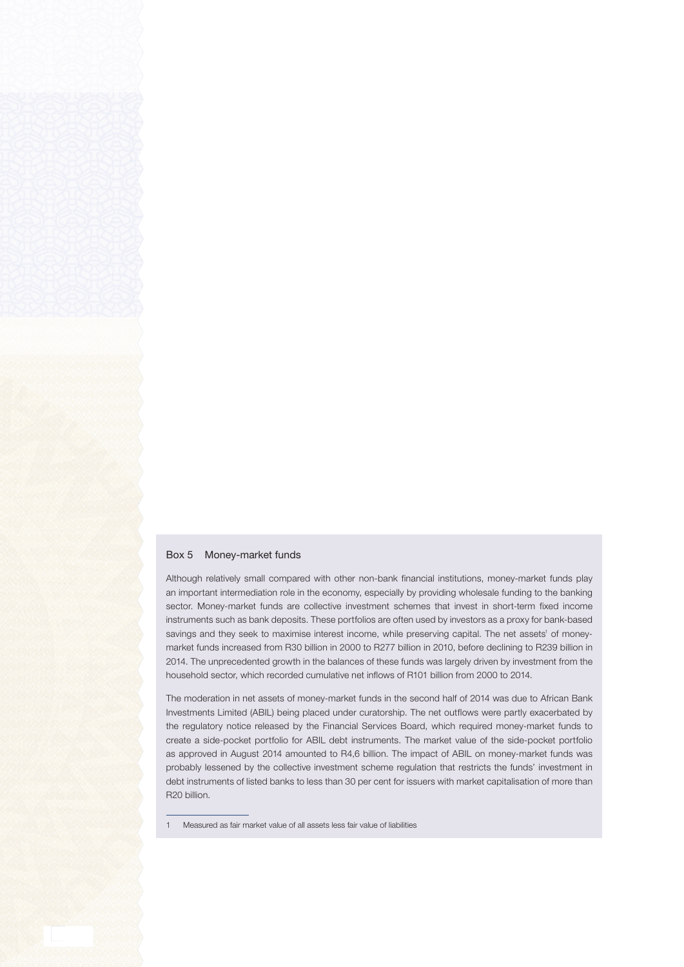## Box 5 Money-market funds

Although relatively small compared with other non-bank financial institutions, money-market funds play an important intermediation role in the economy, especially by providing wholesale funding to the banking sector. Money-market funds are collective investment schemes that invest in short-term fixed income instruments such as bank deposits. These portfolios are often used by investors as a proxy for bank-based savings and they seek to maximise interest income, while preserving capital. The net assets' of moneymarket funds increased from R30 billion in 2000 to R277 billion in 2010, before declining to R239 billion in 2014. The unprecedented growth in the balances of these funds was largely driven by investment from the household sector, which recorded cumulative net inflows of R101 billion from 2000 to 2014.

The moderation in net assets of money-market funds in the second half of 2014 was due to African Bank Investments Limited (ABIL) being placed under curatorship. The net outflows were partly exacerbated by the regulatory notice released by the Financial Services Board, which required money-market funds to create a side-pocket portfolio for ABIL debt instruments. The market value of the side-pocket portfolio as approved in August 2014 amounted to R4,6 billion. The impact of ABIL on money-market funds was probably lessened by the collective investment scheme regulation that restricts the funds' investment in debt instruments of listed banks to less than 30 per cent for issuers with market capitalisation of more than R20 billion.

1 Measured as fair market value of all assets less fair value of liabilities